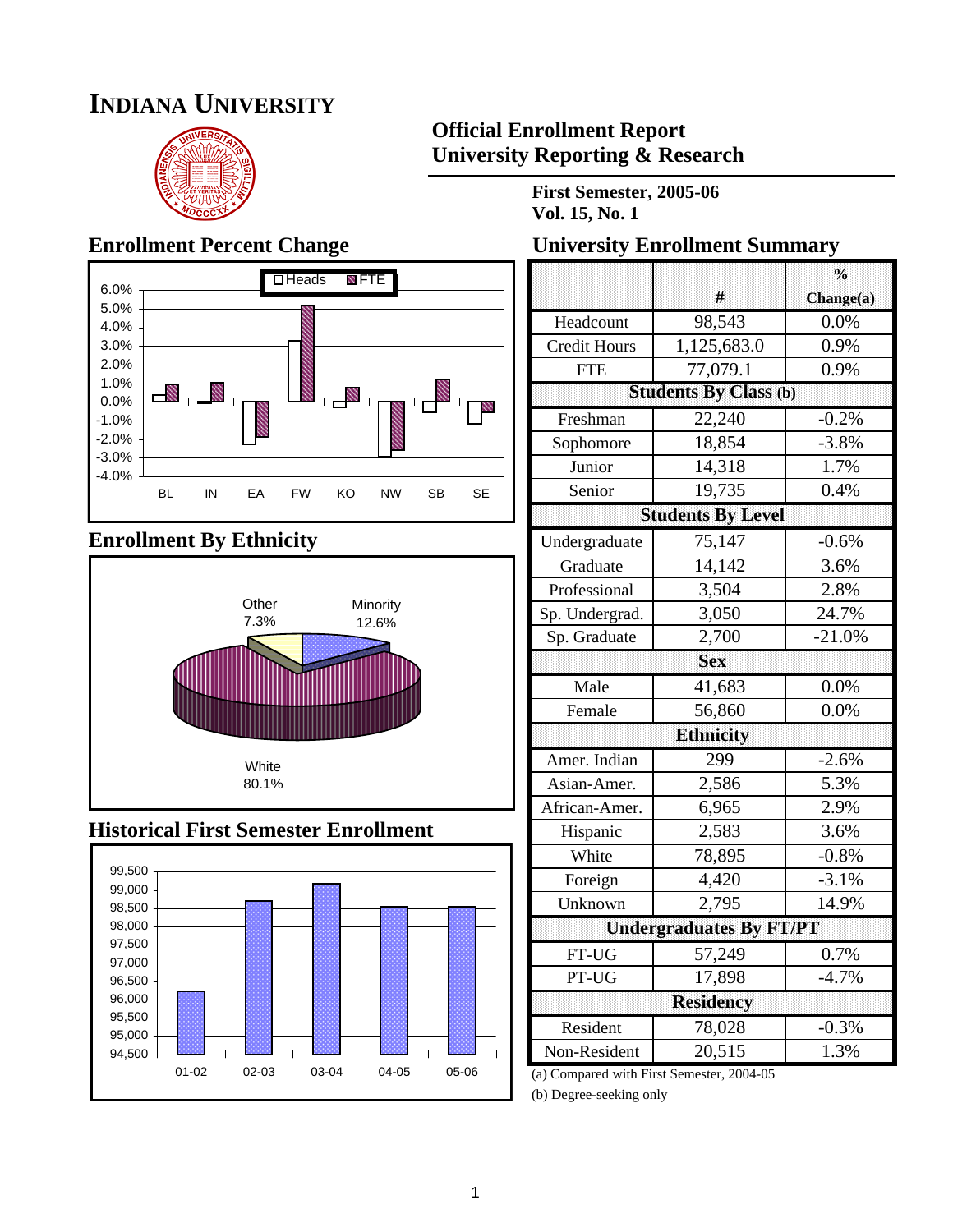# **INDIANA UNIVERSITY**



## **Official Enrollment Report University Reporting & Research**

**First Semester, 2005-06 Vol. 15, No. 1**



## **Enrollment By Ethnicity**



## **Historical First Semester Enrollment**



## **Enrollment Percent Change University Enrollment Summary**

|                     |                                | $\frac{0}{0}$ |  |  |
|---------------------|--------------------------------|---------------|--|--|
|                     | #                              | Change(a)     |  |  |
| Headcount           | $\overline{98,}543$            | 0.0%          |  |  |
| <b>Credit Hours</b> | 1,125,683.0                    | 0.9%          |  |  |
| <b>FTE</b>          | 77,079.1                       | 0.9%          |  |  |
|                     | <b>Students By Class (b)</b>   |               |  |  |
| Freshman            | 22,240                         | $-0.2%$       |  |  |
| Sophomore           | 18,854                         | $-3.8%$       |  |  |
| Junior              | 14,318                         | 1.7%          |  |  |
| Senior              | 19,735                         | 0.4%          |  |  |
|                     | <b>Students By Level</b>       |               |  |  |
| Undergraduate       | 75,147                         | $-0.6%$       |  |  |
| Graduate            | 14,142                         | 3.6%          |  |  |
| Professional        | 3,504                          | 2.8%          |  |  |
| Sp. Undergrad.      | 3,050                          | 24.7%         |  |  |
| Sp. Graduate        | 2,700                          | $-21.0%$      |  |  |
|                     | <b>Sex</b>                     |               |  |  |
| Male                | 41,683                         | 0.0%          |  |  |
| Female              | 56,860                         | 0.0%          |  |  |
|                     | <b>Ethnicity</b>               |               |  |  |
| Amer. Indian        | 299                            |               |  |  |
|                     |                                | $-2.6%$       |  |  |
| Asian-Amer.         | 2,586                          | 5.3%          |  |  |
| African-Amer.       | 6,965                          | 2.9%          |  |  |
| Hispanic            | 2,583                          | 3.6%          |  |  |
| White               | 78,895                         | $-0.8%$       |  |  |
| Foreign             | 4,420                          | $-3.1%$       |  |  |
| Unknown             | 2,795                          | 14.9%         |  |  |
|                     | <b>Undergraduates By FT/PT</b> |               |  |  |
| FT-UG               | 57,249                         | 0.7%          |  |  |
| PT-UG               | 17,898                         | $-4.7%$       |  |  |
|                     | <b>Residency</b>               |               |  |  |
| Resident            | 78,028                         | $-0.3%$       |  |  |

(a) Compared with First Semester, 2004-05

(b) Degree-seeking only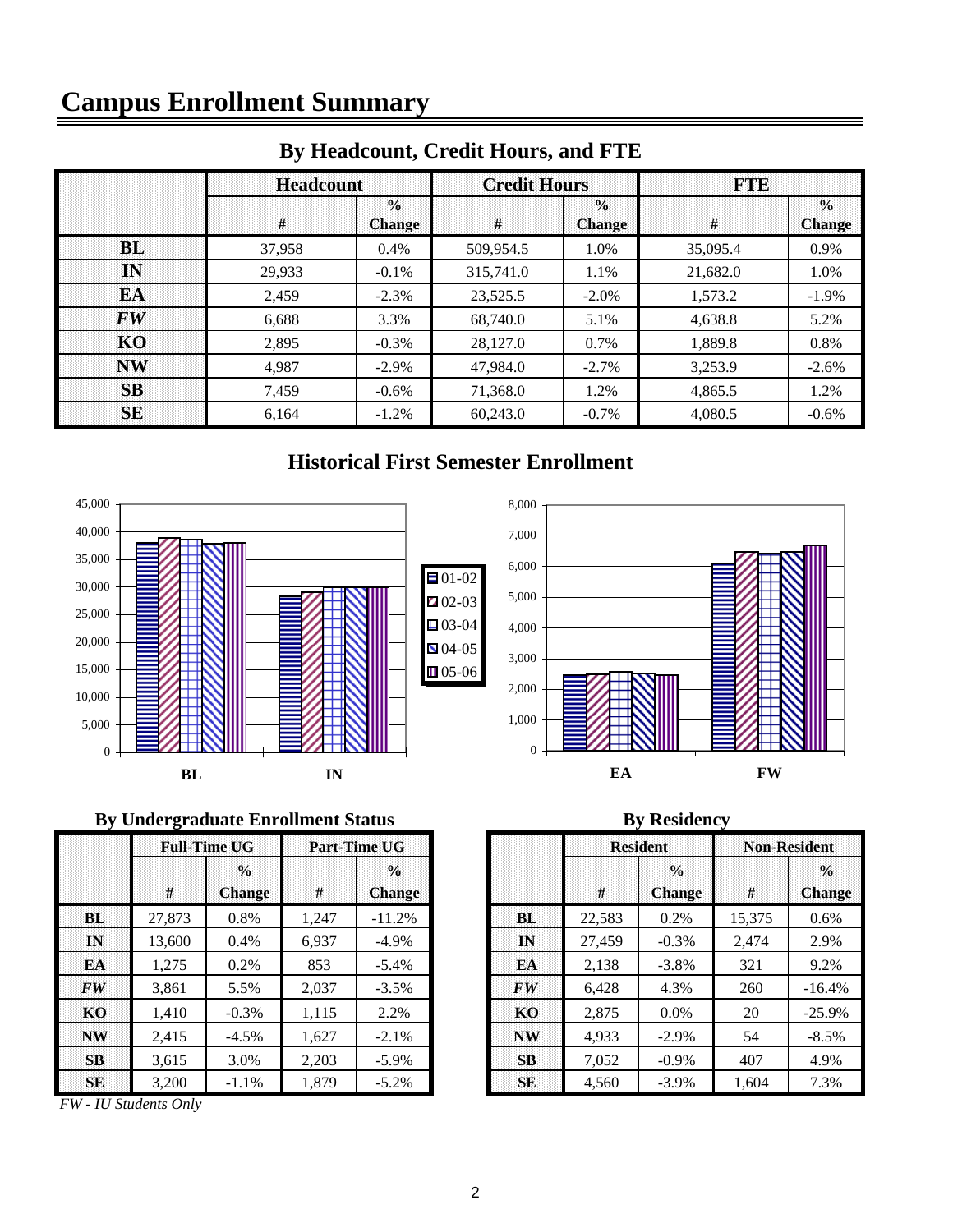# **Campus Enrollment Summary**

|                                | <b>Headcount</b> |                                | <b>Credit Hours</b> |                                | <b>FTIE</b> |                                |  |
|--------------------------------|------------------|--------------------------------|---------------------|--------------------------------|-------------|--------------------------------|--|
|                                | #                | $\frac{0}{0}$<br><b>Change</b> | #                   | $\frac{0}{0}$<br><b>Change</b> | #           | $\frac{0}{0}$<br><b>Change</b> |  |
| <b>BL</b>                      | 37.958           | 0.4%                           | 509,954.5           | 1.0%                           | 35,095.4    | 0.9%                           |  |
| ĪŃ                             | 29,933           | $-0.1%$                        | 315,741.0           | 1.1%                           | 21,682.0    | 1.0%                           |  |
| EA                             | 2,459            | $-2.3%$                        | 23,525.5            | $-2.0\%$                       | 1.573.2     | $-1.9\%$                       |  |
| $\boldsymbol{F}\boldsymbol{W}$ | 6.688            | 3.3%                           | 68,740.0            | 5.1%                           | 4.638.8     | 5.2%                           |  |
| <b>KO</b>                      | 2.895            | $-0.3%$                        | 28,127.0            | 0.7%                           | 1.889.8     | 0.8%                           |  |
| <b>NW</b>                      | 4.987            | $-2.9\%$                       | 47.984.0            | $-2.7\%$                       | 3,253.9     | $-2.6\%$                       |  |
| <b>SB</b>                      | 7,459            | $-0.6%$                        | 71,368.0            | 1.2%                           | 4,865.5     | 1.2%                           |  |
| <b>SE</b>                      | 6.164            | $-1.2\%$                       | 60,243.0            | $-0.7\%$                       | 4.080.5     | $-0.6\%$                       |  |

## **By Headcount, Credit Hours, and FTE**

## **Historical First Semester Enrollment**





### **By Undergraduate Enrollment Status By Residency**

|           |        | <b>Full-Time UG</b>            | <b>Part-Time UG</b> |                                     |  |  |  |
|-----------|--------|--------------------------------|---------------------|-------------------------------------|--|--|--|
|           | #      | $\frac{0}{2}$<br><b>Change</b> | #                   | $\frac{0}{\alpha}$<br><b>Change</b> |  |  |  |
| <b>BL</b> | 27,873 | 0.8%                           | 1,247               | $-11.2%$                            |  |  |  |
| IN        | 13,600 | 0.4%                           | 6,937               | $-4.9\%$                            |  |  |  |
| EA        | 1,275  | 0.2%                           | 853                 | $-5.4%$                             |  |  |  |
| <b>FW</b> | 3,861  | 5.5%                           | 2,037               | $-3.5%$                             |  |  |  |
| KO        | 1,410  | $-0.3%$                        | 1,115               | 2.2%                                |  |  |  |
| <b>NW</b> | 2,415  | $-4.5%$                        | 1,627               | $-2.1%$                             |  |  |  |
| <b>SB</b> | 3,615  | 3.0%                           | 2,203               | $-5.9\%$                            |  |  |  |
| <b>SE</b> | 3,200  | $-1.1%$                        | 1,879               | $-5.2%$                             |  |  |  |

*FW - IU Students Only*

|                | <b>Full-Time UG</b> |                                | <b>Part-Time UG</b> |                                |                |        | <b>Resident</b>                | <b>Non-Resident</b> |                                |
|----------------|---------------------|--------------------------------|---------------------|--------------------------------|----------------|--------|--------------------------------|---------------------|--------------------------------|
|                | #                   | $\frac{0}{0}$<br><b>Change</b> | #                   | $\frac{0}{0}$<br><b>Change</b> |                | #      | $\frac{0}{0}$<br><b>Change</b> | #                   | $\frac{0}{2}$<br><b>Change</b> |
| <b>BL</b>      | 27,873              | 0.8%                           | 1.247               | $-11.2%$                       | BL             | 22,583 | 0.2%                           | 15,375              | $0.6\%$                        |
| IN             | 13,600              | 0.4%                           | 6,937               | $-4.9\%$                       | IN             | 27,459 | $-0.3%$                        | 2,474               | 2.9%                           |
| EA             | 1.275               | 0.2%                           | 853                 | $-5.4\%$                       | EA             | 2,138  | $-3.8\%$                       | 321                 | 9.2%                           |
| $\bm{F}\bm{W}$ | 3.861               | 5.5%                           | 2.037               | $-3.5\%$                       | <b>FW</b>      | 6.428  | 4.3%                           | 260                 | $-16.4%$                       |
| <b>KO</b>      | 1.410               | $-0.3%$                        | 1,115               | 2.2%                           | K <sub>O</sub> | 2,875  | $0.0\%$                        | 20                  | $-25.9\%$                      |
| $N\bar{W}$     | 2.415               | $-4.5%$                        | 1,627               | $-2.1%$                        | <b>NW</b>      | 4,933  | $-2.9\%$                       | 54                  | $-8.5\%$                       |
| SB             | 3.615               | 3.0%                           | 2.203               | $-5.9\%$                       | <b>SB</b>      | 7,052  | $-0.9\%$                       | 407                 | 4.9%                           |
| SE             | 3,200               | $-1.1%$                        | 1,879               | $-5.2\%$                       | <b>SE</b>      | 4,560  | $-3.9\%$                       | 1,604               | 7.3%                           |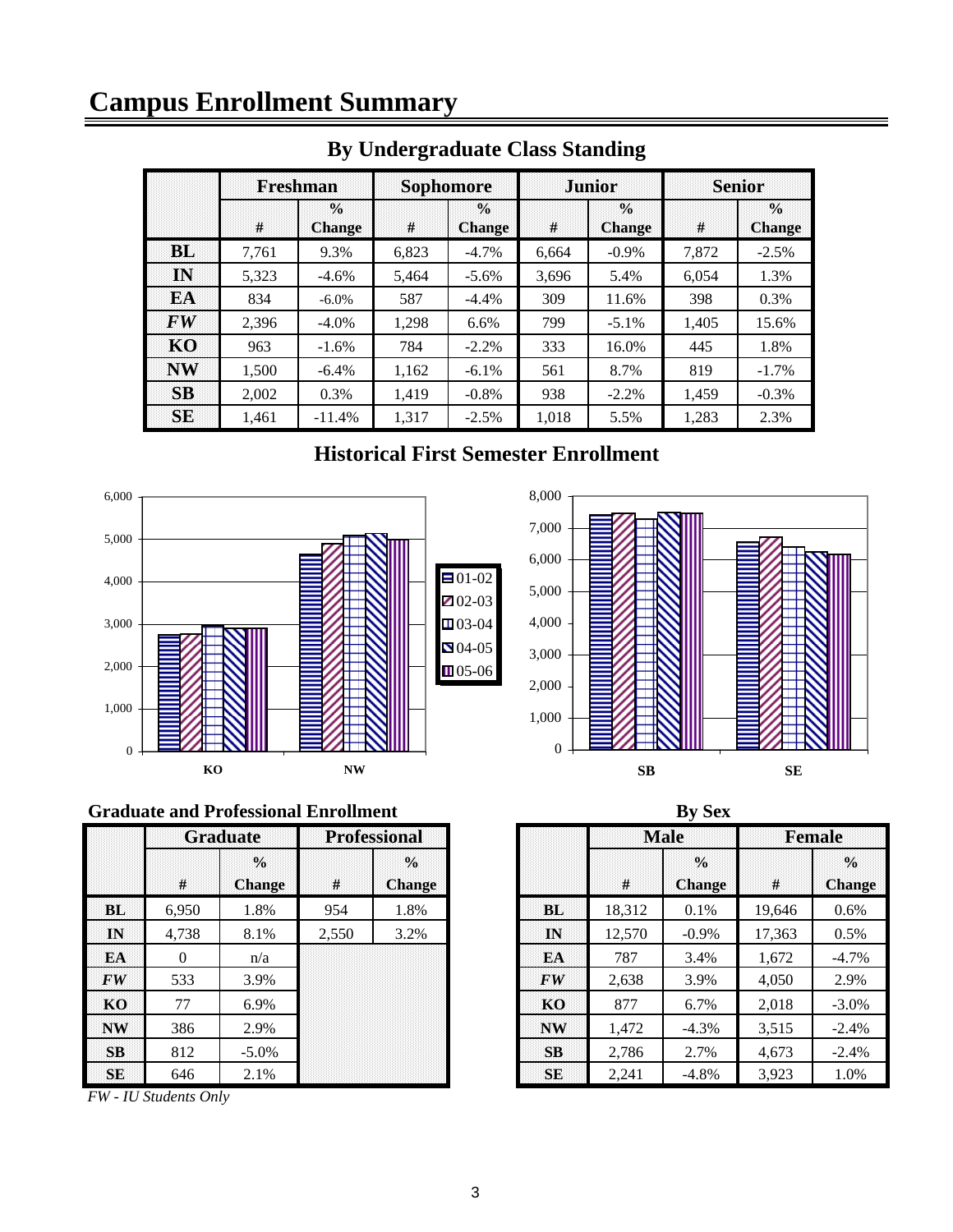# **Campus Enrollment Summary**

|           | <b>Freshman</b> |                                | <b>Sophomore</b> |                                  |       | <b>Junior</b>                  | <b>Senior</b> |                                     |  |
|-----------|-----------------|--------------------------------|------------------|----------------------------------|-------|--------------------------------|---------------|-------------------------------------|--|
|           | #               | $\frac{0}{n}$<br><b>Change</b> | #                | $\frac{0}{\pi}$<br><b>Change</b> | #     | $\frac{0}{0}$<br><b>Change</b> | #             | $\frac{0}{\alpha}$<br><b>Change</b> |  |
| <b>BL</b> | 7,761           | 9.3%                           | 6,823            | $-4.7%$                          | 6,664 | $-0.9\%$                       | 7,872         | $-2.5%$                             |  |
| IN        | 5.323           | $-4.6\%$                       | 5.464            | $-5.6\%$                         | 3,696 | 5.4%                           | 6.054         | 1.3%                                |  |
| EA        | 834             | $-6.0\%$                       | 587              | $-4.4\%$                         | 309   | 11.6%                          | 398           | 0.3%                                |  |
| FW        | 2,396           | $-4.0\%$                       | 1.298            | 6.6%                             | 799   | $-5.1\%$                       | 1.405         | 15.6%                               |  |
| KO        | 963             | $-1.6\%$                       | 784              | $-2.2%$                          | 333   | 16.0%                          | 445           | 1.8%                                |  |
| <b>NW</b> | 1.500           | $-6.4\%$                       | 1,162            | $-6.1\%$                         | 561   | 8.7%                           | 819           | $-1.7\%$                            |  |
| <b>SB</b> | 2.002           | 0.3%                           | 1.419            | $-0.8%$                          | 938   | $-2.2%$                        | 1.459         | $-0.3%$                             |  |
| <b>SE</b> | 1.461           | $-11.4%$                       | 1.317            | $-2.5%$                          | 1,018 | 5.5%                           | 1,283         | 2.3%                                |  |

## **By Undergraduate Class Standing**

## **Historical First Semester Enrollment**





### **Graduate and Professional Enrollment**

|           | <b>Graduate</b> |                                | <b>Professional</b> |                                |               |        | <b>Male</b>                    | <b>Female</b> |                        |
|-----------|-----------------|--------------------------------|---------------------|--------------------------------|---------------|--------|--------------------------------|---------------|------------------------|
|           | #               | $\frac{0}{0}$<br><b>Change</b> | #                   | $\frac{0}{0}$<br><b>Change</b> |               | #      | $\frac{0}{0}$<br><b>Change</b> | #             | $\frac{0}{2}$<br>Chang |
| BL.       | 6,950           | 1.8%                           | 954                 | 1.8%                           | <b>BL</b>     | 18,312 | $0.1\%$                        | 19,646        | $0.6\%$                |
| IN        | 4,738           | 8.1%                           | 2,550               | 3.2%                           | $\mathbf{IN}$ | 12,570 | $-0.9\%$                       | 17,363        | 0.5%                   |
| <b>EA</b> | $\Omega$        | n/a                            |                     |                                | EA            | 787    | 3.4%                           | 1,672         | $-4.7%$                |
| <b>FW</b> | 533             | 3.9%                           |                     |                                | <b>FW</b>     | 2,638  | 3.9%                           | 4,050         | 2.9%                   |
| KO        | 77              | 6.9%                           |                     |                                | KO.           | 877    | 6.7%                           | 2,018         | $-3.0%$                |
| <b>NW</b> | 386             | 2.9%                           |                     |                                | <b>NW</b>     | 1,472  | $-4.3\%$                       | 3,515         | $-2.4%$                |
| SB        | 812             | $-5.0\%$                       |                     |                                | <b>SB</b>     | 2,786  | 2.7%                           | 4,673         | $-2.4%$                |
| <b>SE</b> | 646             | 2.1%                           |                     |                                | SE            | 2,241  | $-4.8\%$                       | 3,923         | 1.0%                   |

*FW - IU Students Only*

|              |                 | raduate and Professional Enrollment |       |                                |                                | <b>By Sex</b> |                                |        |                                |  |  |
|--------------|-----------------|-------------------------------------|-------|--------------------------------|--------------------------------|---------------|--------------------------------|--------|--------------------------------|--|--|
|              | <b>Graduate</b> |                                     |       | <b>Professional</b>            |                                |               | <b>Male</b>                    |        | <b>Female</b>                  |  |  |
|              | #               | $\frac{0}{0}$<br><b>Change</b>      | $\#$  | $\frac{0}{0}$<br><b>Change</b> |                                | #             | $\frac{0}{0}$<br><b>Change</b> | $\#$   | $\frac{0}{0}$<br><b>Change</b> |  |  |
| BL           | 6.950           | 1.8%                                | 954   | 1.8%                           | <b>BL</b>                      | 18,312        | 0.1%                           | 19,646 | $0.6\%$                        |  |  |
| IN           | 4,738           | 8.1%                                | 2,550 | 3.2%                           | $\mathbf{IN}$                  | 12.570        | $-0.9\%$                       | 17,363 | $0.5\%$                        |  |  |
| EA           | 0               | n/a                                 |       |                                | EA                             | 787           | 3.4%                           | 1,672  | $-4.7\%$                       |  |  |
| FW           | 533             | 3.9%                                |       |                                | $\boldsymbol{F}\boldsymbol{W}$ | 2,638         | 3.9%                           | 4,050  | 2.9%                           |  |  |
| KО           | 77              | 6.9%                                |       |                                | KO                             | 877           | 6.7%                           | 2,018  | $-3.0\%$                       |  |  |
| $\mathbf{W}$ | 386             | 2.9%                                |       |                                | <b>NW</b>                      | 1,472         | $-4.3%$                        | 3,515  | $-2.4\%$                       |  |  |
| SB           | 812             | $-5.0\%$                            |       |                                | SB                             | 2.786         | 2.7%                           | 4,673  | $-2.4\%$                       |  |  |
| SE           | 646             | 2.1%                                |       |                                | SE                             | 2,241         | $-4.8%$                        | 3,923  | 1.0%                           |  |  |